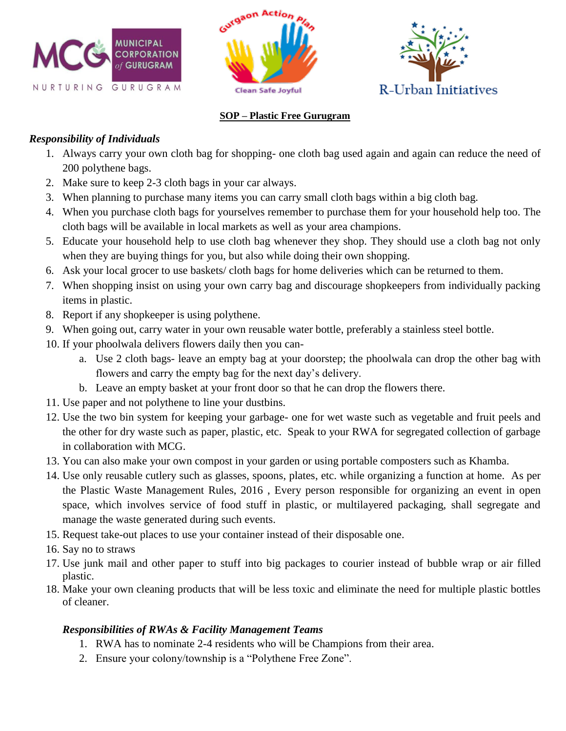





#### **SOP – Plastic Free Gurugram**

#### *Responsibility of Individuals*

- 1. Always carry your own cloth bag for shopping- one cloth bag used again and again can reduce the need of 200 polythene bags.
- 2. Make sure to keep 2-3 cloth bags in your car always.
- 3. When planning to purchase many items you can carry small cloth bags within a big cloth bag.
- 4. When you purchase cloth bags for yourselves remember to purchase them for your household help too. The cloth bags will be available in local markets as well as your area champions.
- 5. Educate your household help to use cloth bag whenever they shop. They should use a cloth bag not only when they are buying things for you, but also while doing their own shopping.
- 6. Ask your local grocer to use baskets/ cloth bags for home deliveries which can be returned to them.
- 7. When shopping insist on using your own carry bag and discourage shopkeepers from individually packing items in plastic.
- 8. Report if any shopkeeper is using polythene.
- 9. When going out, carry water in your own reusable water bottle, preferably a stainless steel bottle.
- 10. If your phoolwala delivers flowers daily then you can
	- a. Use 2 cloth bags- leave an empty bag at your doorstep; the phoolwala can drop the other bag with flowers and carry the empty bag for the next day's delivery.
	- b. Leave an empty basket at your front door so that he can drop the flowers there.
- 11. Use paper and not polythene to line your dustbins.
- 12. Use the two bin system for keeping your garbage- one for wet waste such as vegetable and fruit peels and the other for dry waste such as paper, plastic, etc. Speak to your RWA for segregated collection of garbage in collaboration with MCG.
- 13. You can also make your own compost in your garden or using portable composters such as Khamba.
- 14. Use only reusable cutlery such as glasses, spoons, plates, etc. while organizing a function at home. As per the Plastic Waste Management Rules, 2016 , Every person responsible for organizing an event in open space, which involves service of food stuff in plastic, or multilayered packaging, shall segregate and manage the waste generated during such events.
- 15. Request take-out places to use your container instead of their disposable one.
- 16. Say no to straws
- 17. Use junk mail and other paper to stuff into big packages to courier instead of bubble wrap or air filled plastic.
- 18. Make your own cleaning products that will be less toxic and eliminate the need for multiple plastic bottles of cleaner.

#### *Responsibilities of RWAs & Facility Management Teams*

- 1. RWA has to nominate 2-4 residents who will be Champions from their area.
- 2. Ensure your colony/township is a "Polythene Free Zone".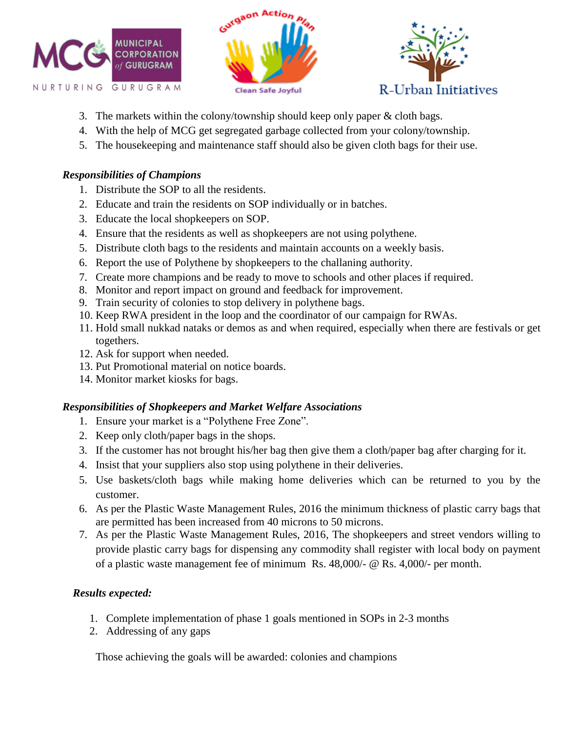





- 3. The markets within the colony/township should keep only paper & cloth bags.
- 4. With the help of MCG get segregated garbage collected from your colony/township.
- 5. The housekeeping and maintenance staff should also be given cloth bags for their use.

### *Responsibilities of Champions*

- 1. Distribute the SOP to all the residents.
- 2. Educate and train the residents on SOP individually or in batches.
- 3. Educate the local shopkeepers on SOP.
- 4. Ensure that the residents as well as shopkeepers are not using polythene.
- 5. Distribute cloth bags to the residents and maintain accounts on a weekly basis.
- 6. Report the use of Polythene by shopkeepers to the challaning authority.
- 7. Create more champions and be ready to move to schools and other places if required.
- 8. Monitor and report impact on ground and feedback for improvement.
- 9. Train security of colonies to stop delivery in polythene bags.
- 10. Keep RWA president in the loop and the coordinator of our campaign for RWAs.
- 11. Hold small nukkad nataks or demos as and when required, especially when there are festivals or get togethers.
- 12. Ask for support when needed.
- 13. Put Promotional material on notice boards.
- 14. Monitor market kiosks for bags.

# *Responsibilities of Shopkeepers and Market Welfare Associations*

- 1. Ensure your market is a "Polythene Free Zone".
- 2. Keep only cloth/paper bags in the shops.
- 3. If the customer has not brought his/her bag then give them a cloth/paper bag after charging for it.
- 4. Insist that your suppliers also stop using polythene in their deliveries.
- 5. Use baskets/cloth bags while making home deliveries which can be returned to you by the customer.
- 6. As per the Plastic Waste Management Rules, 2016 the minimum thickness of plastic carry bags that are permitted has been increased from 40 microns to 50 microns.
- 7. As per the Plastic Waste Management Rules, 2016, The shopkeepers and street vendors willing to provide plastic carry bags for dispensing any commodity shall register with local body on payment of a plastic waste management fee of minimum Rs. 48,000/- @ Rs. 4,000/- per month.

# *Results expected:*

- 1. Complete implementation of phase 1 goals mentioned in SOPs in 2-3 months
- 2. Addressing of any gaps

Those achieving the goals will be awarded: colonies and champions